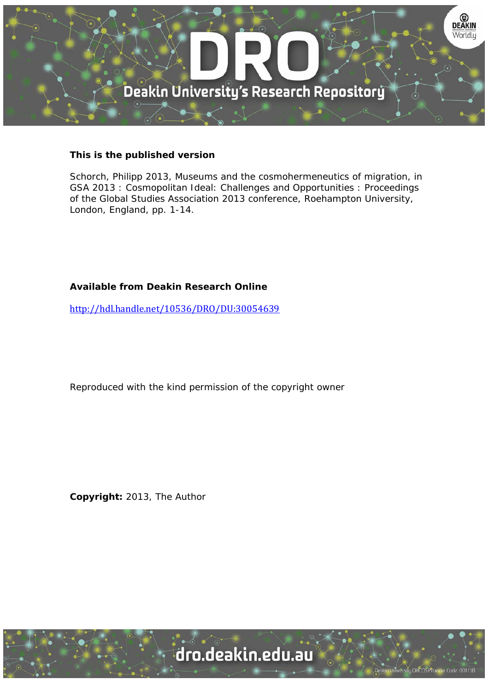

# **This is the published version**

Schorch, Philipp 2013, Museums and the cosmohermeneutics of migration, in GSA 2013 : Cosmopolitan Ideal: Challenges and Opportunities : Proceedings of the Global Studies Association 2013 conference, Roehampton University, London, England, pp. 1-14.

# **Available from Deakin Research Online**

http://hdl.handle.net/10536/DRO/DU:30054639

Reproduced with the kind permission of the copyright owner

**Copyright:** 2013, The Author

University CRICOS Provider Code: 00113B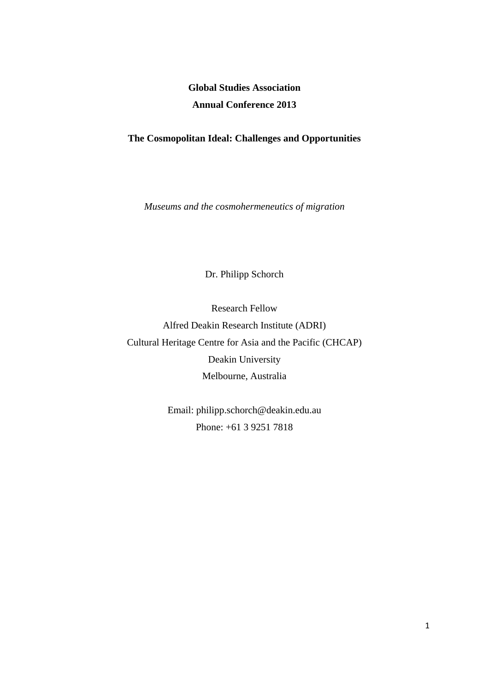# **Global Studies Association Annual Conference 2013**

# **The Cosmopolitan Ideal: Challenges and Opportunities**

*Museums and the cosmohermeneutics of migration*

Dr. Philipp Schorch

Research Fellow

Alfred Deakin Research Institute (ADRI) Cultural Heritage Centre for Asia and the Pacific (CHCAP) Deakin University Melbourne, Australia

> Email: philipp.schorch@deakin.edu.au Phone: +61 3 9251 7818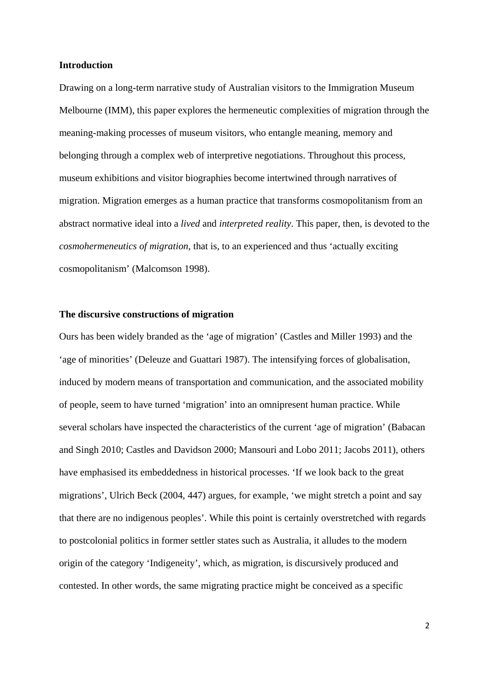### **Introduction**

Drawing on a long-term narrative study of Australian visitors to the Immigration Museum Melbourne (IMM), this paper explores the hermeneutic complexities of migration through the meaning-making processes of museum visitors, who entangle meaning, memory and belonging through a complex web of interpretive negotiations. Throughout this process, museum exhibitions and visitor biographies become intertwined through narratives of migration. Migration emerges as a human practice that transforms cosmopolitanism from an abstract normative ideal into a *lived* and *interpreted reality*. This paper, then, is devoted to the *cosmohermeneutics of migration*, that is, to an experienced and thus 'actually exciting cosmopolitanism' (Malcomson 1998).

### **The discursive constructions of migration**

Ours has been widely branded as the 'age of migration' (Castles and Miller 1993) and the 'age of minorities' (Deleuze and Guattari 1987). The intensifying forces of globalisation, induced by modern means of transportation and communication, and the associated mobility of people, seem to have turned 'migration' into an omnipresent human practice. While several scholars have inspected the characteristics of the current 'age of migration' (Babacan and Singh 2010; Castles and Davidson 2000; Mansouri and Lobo 2011; Jacobs 2011), others have emphasised its embeddedness in historical processes. 'If we look back to the great migrations', Ulrich Beck (2004, 447) argues, for example, 'we might stretch a point and say that there are no indigenous peoples'. While this point is certainly overstretched with regards to postcolonial politics in former settler states such as Australia, it alludes to the modern origin of the category 'Indigeneity', which, as migration, is discursively produced and contested. In other words, the same migrating practice might be conceived as a specific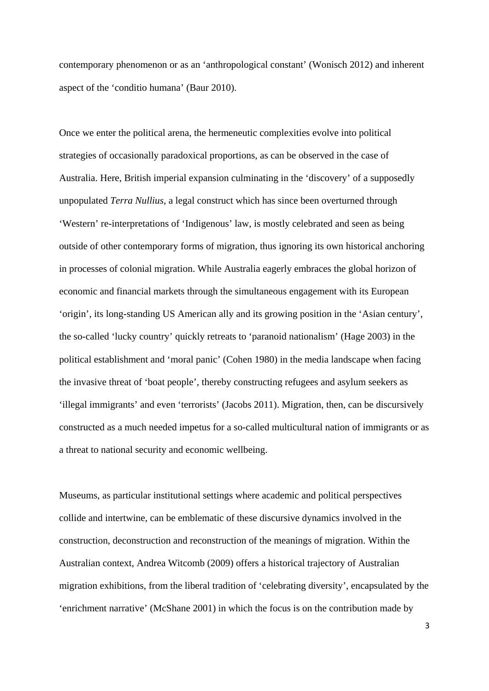contemporary phenomenon or as an 'anthropological constant' (Wonisch 2012) and inherent aspect of the 'conditio humana' (Baur 2010).

Once we enter the political arena, the hermeneutic complexities evolve into political strategies of occasionally paradoxical proportions, as can be observed in the case of Australia. Here, British imperial expansion culminating in the 'discovery' of a supposedly unpopulated *Terra Nullius*, a legal construct which has since been overturned through 'Western' re-interpretations of 'Indigenous' law, is mostly celebrated and seen as being outside of other contemporary forms of migration, thus ignoring its own historical anchoring in processes of colonial migration. While Australia eagerly embraces the global horizon of economic and financial markets through the simultaneous engagement with its European 'origin', its long-standing US American ally and its growing position in the 'Asian century', the so-called 'lucky country' quickly retreats to 'paranoid nationalism' (Hage 2003) in the political establishment and 'moral panic' (Cohen 1980) in the media landscape when facing the invasive threat of 'boat people', thereby constructing refugees and asylum seekers as 'illegal immigrants' and even 'terrorists' (Jacobs 2011). Migration, then, can be discursively constructed as a much needed impetus for a so-called multicultural nation of immigrants or as a threat to national security and economic wellbeing.

Museums, as particular institutional settings where academic and political perspectives collide and intertwine, can be emblematic of these discursive dynamics involved in the construction, deconstruction and reconstruction of the meanings of migration. Within the Australian context, Andrea Witcomb (2009) offers a historical trajectory of Australian migration exhibitions, from the liberal tradition of 'celebrating diversity', encapsulated by the 'enrichment narrative' (McShane 2001) in which the focus is on the contribution made by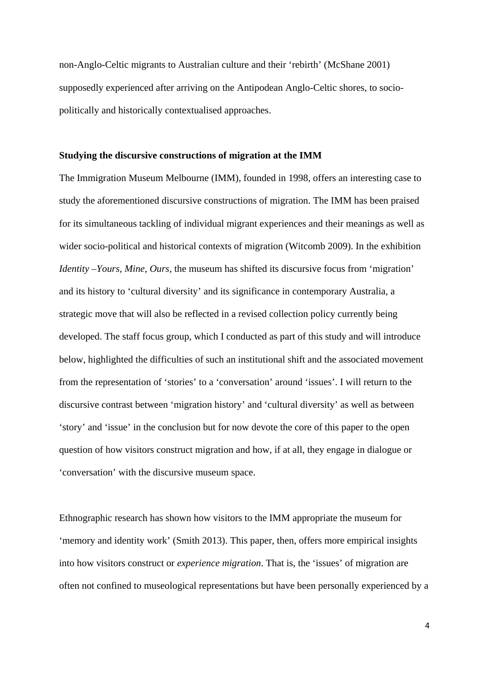non-Anglo-Celtic migrants to Australian culture and their 'rebirth' (McShane 2001) supposedly experienced after arriving on the Antipodean Anglo-Celtic shores, to sociopolitically and historically contextualised approaches.

#### **Studying the discursive constructions of migration at the IMM**

The Immigration Museum Melbourne (IMM), founded in 1998, offers an interesting case to study the aforementioned discursive constructions of migration. The IMM has been praised for its simultaneous tackling of individual migrant experiences and their meanings as well as wider socio-political and historical contexts of migration (Witcomb 2009). In the exhibition *Identity –Yours, Mine, Ours*, the museum has shifted its discursive focus from 'migration' and its history to 'cultural diversity' and its significance in contemporary Australia, a strategic move that will also be reflected in a revised collection policy currently being developed. The staff focus group, which I conducted as part of this study and will introduce below, highlighted the difficulties of such an institutional shift and the associated movement from the representation of 'stories' to a 'conversation' around 'issues'. I will return to the discursive contrast between 'migration history' and 'cultural diversity' as well as between 'story' and 'issue' in the conclusion but for now devote the core of this paper to the open question of how visitors construct migration and how, if at all, they engage in dialogue or 'conversation' with the discursive museum space.

Ethnographic research has shown how visitors to the IMM appropriate the museum for 'memory and identity work' (Smith 2013). This paper, then, offers more empirical insights into how visitors construct or *experience migration*. That is, the 'issues' of migration are often not confined to museological representations but have been personally experienced by a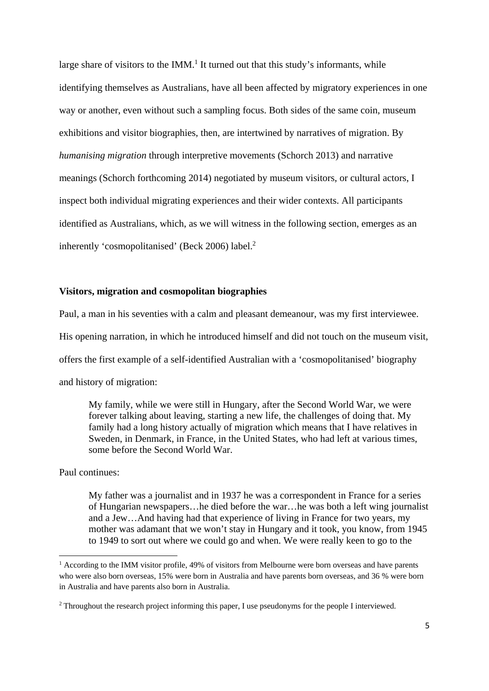large share of visitors to the IMM. $<sup>1</sup>$  It turned out that this study's informants, while</sup> identifying themselves as Australians, have all been affected by migratory experiences in one way or another, even without such a sampling focus. Both sides of the same coin, museum exhibitions and visitor biographies, then, are intertwined by narratives of migration. By *humanising migration* through interpretive movements (Schorch 2013) and narrative meanings (Schorch forthcoming 2014) negotiated by museum visitors, or cultural actors, I inspect both individual migrating experiences and their wider contexts. All participants identified as Australians, which, as we will witness in the following section, emerges as an inherently 'cosmopolitanised' (Beck 2006) label.2

# **Visitors, migration and cosmopolitan biographies**

Paul, a man in his seventies with a calm and pleasant demeanour, was my first interviewee.

His opening narration, in which he introduced himself and did not touch on the museum visit,

offers the first example of a self-identified Australian with a 'cosmopolitanised' biography

and history of migration:

My family, while we were still in Hungary, after the Second World War, we were forever talking about leaving, starting a new life, the challenges of doing that. My family had a long history actually of migration which means that I have relatives in Sweden, in Denmark, in France, in the United States, who had left at various times, some before the Second World War.

Paul continues:

My father was a journalist and in 1937 he was a correspondent in France for a series of Hungarian newspapers…he died before the war…he was both a left wing journalist and a Jew…And having had that experience of living in France for two years, my mother was adamant that we won't stay in Hungary and it took, you know, from 1945 to 1949 to sort out where we could go and when. We were really keen to go to the

<sup>&</sup>lt;sup>1</sup> According to the IMM visitor profile, 49% of visitors from Melbourne were born overseas and have parents who were also born overseas, 15% were born in Australia and have parents born overseas, and 36 % were born in Australia and have parents also born in Australia.

<sup>&</sup>lt;sup>2</sup> Throughout the research project informing this paper, I use pseudonyms for the people I interviewed.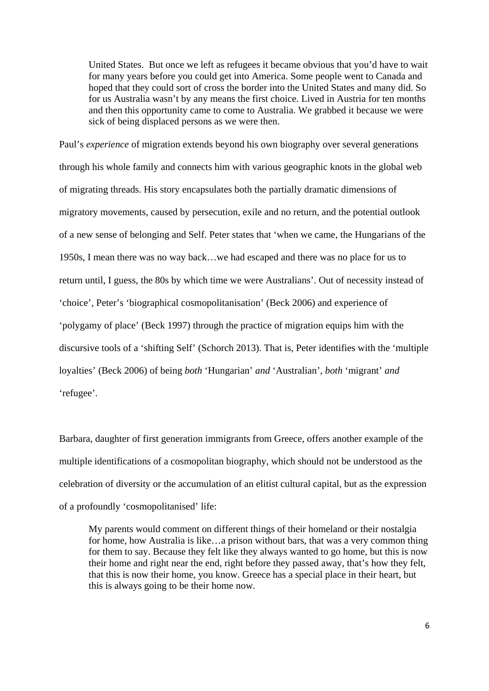United States. But once we left as refugees it became obvious that you'd have to wait for many years before you could get into America. Some people went to Canada and hoped that they could sort of cross the border into the United States and many did. So for us Australia wasn't by any means the first choice. Lived in Austria for ten months and then this opportunity came to come to Australia. We grabbed it because we were sick of being displaced persons as we were then.

Paul's *experience* of migration extends beyond his own biography over several generations through his whole family and connects him with various geographic knots in the global web of migrating threads. His story encapsulates both the partially dramatic dimensions of migratory movements, caused by persecution, exile and no return, and the potential outlook of a new sense of belonging and Self. Peter states that 'when we came, the Hungarians of the 1950s, I mean there was no way back…we had escaped and there was no place for us to return until, I guess, the 80s by which time we were Australians'. Out of necessity instead of 'choice', Peter's 'biographical cosmopolitanisation' (Beck 2006) and experience of 'polygamy of place' (Beck 1997) through the practice of migration equips him with the discursive tools of a 'shifting Self' (Schorch 2013). That is, Peter identifies with the 'multiple loyalties' (Beck 2006) of being *both* 'Hungarian' *and* 'Australian', *both* 'migrant' *and* 'refugee'.

Barbara, daughter of first generation immigrants from Greece, offers another example of the multiple identifications of a cosmopolitan biography, which should not be understood as the celebration of diversity or the accumulation of an elitist cultural capital, but as the expression of a profoundly 'cosmopolitanised' life:

My parents would comment on different things of their homeland or their nostalgia for home, how Australia is like…a prison without bars, that was a very common thing for them to say. Because they felt like they always wanted to go home, but this is now their home and right near the end, right before they passed away, that's how they felt, that this is now their home, you know. Greece has a special place in their heart, but this is always going to be their home now.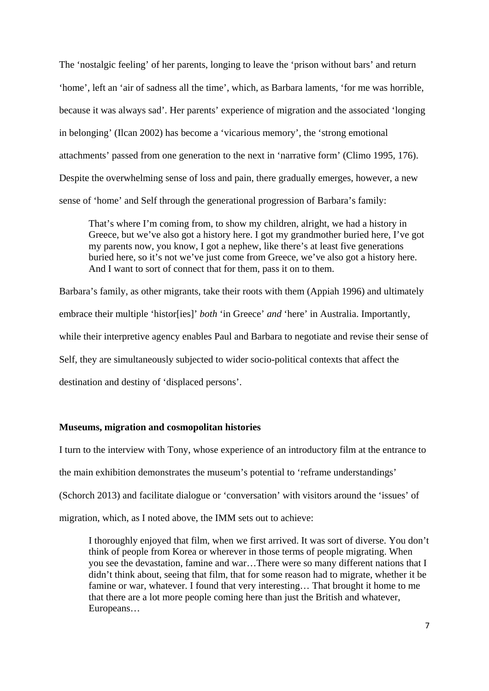The 'nostalgic feeling' of her parents, longing to leave the 'prison without bars' and return 'home', left an 'air of sadness all the time', which, as Barbara laments, 'for me was horrible, because it was always sad'. Her parents' experience of migration and the associated 'longing in belonging' (Ilcan 2002) has become a 'vicarious memory', the 'strong emotional attachments' passed from one generation to the next in 'narrative form' (Climo 1995, 176). Despite the overwhelming sense of loss and pain, there gradually emerges, however, a new sense of 'home' and Self through the generational progression of Barbara's family:

That's where I'm coming from, to show my children, alright, we had a history in Greece, but we've also got a history here. I got my grandmother buried here, I've got my parents now, you know, I got a nephew, like there's at least five generations buried here, so it's not we've just come from Greece, we've also got a history here. And I want to sort of connect that for them, pass it on to them.

Barbara's family, as other migrants, take their roots with them (Appiah 1996) and ultimately embrace their multiple 'histor[ies]' *both* 'in Greece' *and* 'here' in Australia. Importantly, while their interpretive agency enables Paul and Barbara to negotiate and revise their sense of Self, they are simultaneously subjected to wider socio-political contexts that affect the destination and destiny of 'displaced persons'.

# **Museums, migration and cosmopolitan histories**

I turn to the interview with Tony, whose experience of an introductory film at the entrance to the main exhibition demonstrates the museum's potential to 'reframe understandings' (Schorch 2013) and facilitate dialogue or 'conversation' with visitors around the 'issues' of migration, which, as I noted above, the IMM sets out to achieve:

I thoroughly enjoyed that film, when we first arrived. It was sort of diverse. You don't think of people from Korea or wherever in those terms of people migrating. When you see the devastation, famine and war…There were so many different nations that I didn't think about, seeing that film, that for some reason had to migrate, whether it be famine or war, whatever. I found that very interesting… That brought it home to me that there are a lot more people coming here than just the British and whatever, Europeans…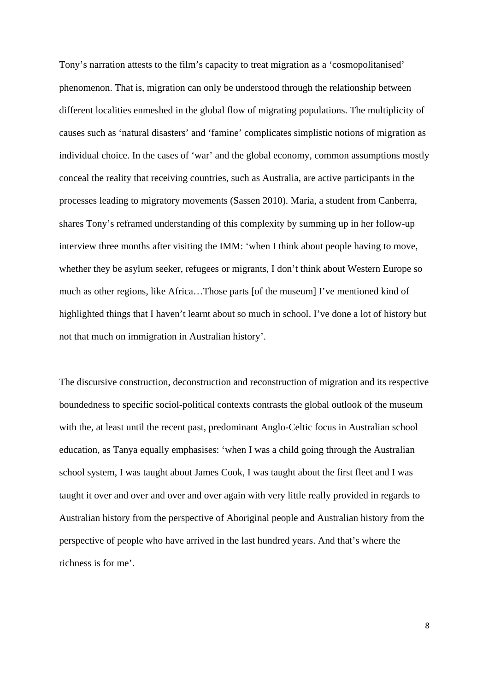Tony's narration attests to the film's capacity to treat migration as a 'cosmopolitanised' phenomenon. That is, migration can only be understood through the relationship between different localities enmeshed in the global flow of migrating populations. The multiplicity of causes such as 'natural disasters' and 'famine' complicates simplistic notions of migration as individual choice. In the cases of 'war' and the global economy, common assumptions mostly conceal the reality that receiving countries, such as Australia, are active participants in the processes leading to migratory movements (Sassen 2010). Maria, a student from Canberra, shares Tony's reframed understanding of this complexity by summing up in her follow-up interview three months after visiting the IMM: 'when I think about people having to move, whether they be asylum seeker, refugees or migrants, I don't think about Western Europe so much as other regions, like Africa…Those parts [of the museum] I've mentioned kind of highlighted things that I haven't learnt about so much in school. I've done a lot of history but not that much on immigration in Australian history'.

The discursive construction, deconstruction and reconstruction of migration and its respective boundedness to specific sociol-political contexts contrasts the global outlook of the museum with the, at least until the recent past, predominant Anglo-Celtic focus in Australian school education, as Tanya equally emphasises: 'when I was a child going through the Australian school system, I was taught about James Cook, I was taught about the first fleet and I was taught it over and over and over and over again with very little really provided in regards to Australian history from the perspective of Aboriginal people and Australian history from the perspective of people who have arrived in the last hundred years. And that's where the richness is for me'.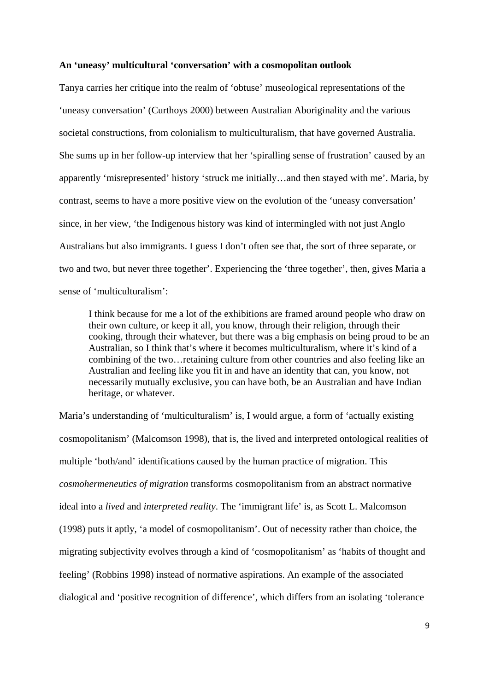### **An 'uneasy' multicultural 'conversation' with a cosmopolitan outlook**

Tanya carries her critique into the realm of 'obtuse' museological representations of the 'uneasy conversation' (Curthoys 2000) between Australian Aboriginality and the various societal constructions, from colonialism to multiculturalism, that have governed Australia. She sums up in her follow-up interview that her 'spiralling sense of frustration' caused by an apparently 'misrepresented' history 'struck me initially…and then stayed with me'. Maria, by contrast, seems to have a more positive view on the evolution of the 'uneasy conversation' since, in her view, 'the Indigenous history was kind of intermingled with not just Anglo Australians but also immigrants. I guess I don't often see that, the sort of three separate, or two and two, but never three together'. Experiencing the 'three together', then, gives Maria a sense of 'multiculturalism':

I think because for me a lot of the exhibitions are framed around people who draw on their own culture, or keep it all, you know, through their religion, through their cooking, through their whatever, but there was a big emphasis on being proud to be an Australian, so I think that's where it becomes multiculturalism, where it's kind of a combining of the two…retaining culture from other countries and also feeling like an Australian and feeling like you fit in and have an identity that can, you know, not necessarily mutually exclusive, you can have both, be an Australian and have Indian heritage, or whatever.

Maria's understanding of 'multiculturalism' is, I would argue, a form of 'actually existing cosmopolitanism' (Malcomson 1998), that is, the lived and interpreted ontological realities of multiple 'both/and' identifications caused by the human practice of migration. This *cosmohermeneutics of migration* transforms cosmopolitanism from an abstract normative ideal into a *lived* and *interpreted reality*. The 'immigrant life' is, as Scott L. Malcomson (1998) puts it aptly, 'a model of cosmopolitanism'. Out of necessity rather than choice, the migrating subjectivity evolves through a kind of 'cosmopolitanism' as 'habits of thought and feeling' (Robbins 1998) instead of normative aspirations. An example of the associated dialogical and 'positive recognition of difference', which differs from an isolating 'tolerance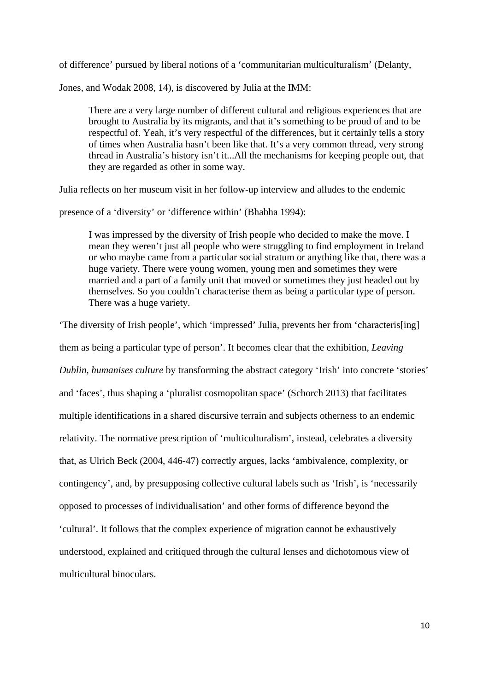of difference' pursued by liberal notions of a 'communitarian multiculturalism' (Delanty,

Jones, and Wodak 2008, 14), is discovered by Julia at the IMM:

There are a very large number of different cultural and religious experiences that are brought to Australia by its migrants, and that it's something to be proud of and to be respectful of. Yeah, it's very respectful of the differences, but it certainly tells a story of times when Australia hasn't been like that. It's a very common thread, very strong thread in Australia's history isn't it...All the mechanisms for keeping people out, that they are regarded as other in some way.

Julia reflects on her museum visit in her follow-up interview and alludes to the endemic

presence of a 'diversity' or 'difference within' (Bhabha 1994):

I was impressed by the diversity of Irish people who decided to make the move. I mean they weren't just all people who were struggling to find employment in Ireland or who maybe came from a particular social stratum or anything like that, there was a huge variety. There were young women, young men and sometimes they were married and a part of a family unit that moved or sometimes they just headed out by themselves. So you couldn't characterise them as being a particular type of person. There was a huge variety.

'The diversity of Irish people', which 'impressed' Julia, prevents her from 'characteris[ing] them as being a particular type of person'. It becomes clear that the exhibition, *Leaving Dublin*, *humanises culture* by transforming the abstract category 'Irish' into concrete 'stories' and 'faces', thus shaping a 'pluralist cosmopolitan space' (Schorch 2013) that facilitates multiple identifications in a shared discursive terrain and subjects otherness to an endemic relativity. The normative prescription of 'multiculturalism', instead, celebrates a diversity that, as Ulrich Beck (2004, 446-47) correctly argues, lacks 'ambivalence, complexity, or contingency', and, by presupposing collective cultural labels such as 'Irish', is 'necessarily opposed to processes of individualisation' and other forms of difference beyond the 'cultural'. It follows that the complex experience of migration cannot be exhaustively understood, explained and critiqued through the cultural lenses and dichotomous view of multicultural binoculars.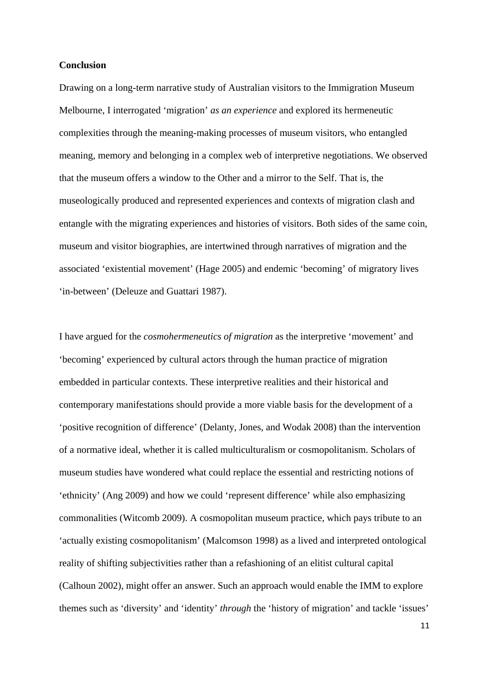### **Conclusion**

Drawing on a long-term narrative study of Australian visitors to the Immigration Museum Melbourne, I interrogated 'migration' *as an experience* and explored its hermeneutic complexities through the meaning-making processes of museum visitors, who entangled meaning, memory and belonging in a complex web of interpretive negotiations. We observed that the museum offers a window to the Other and a mirror to the Self. That is, the museologically produced and represented experiences and contexts of migration clash and entangle with the migrating experiences and histories of visitors. Both sides of the same coin, museum and visitor biographies, are intertwined through narratives of migration and the associated 'existential movement' (Hage 2005) and endemic 'becoming' of migratory lives 'in-between' (Deleuze and Guattari 1987).

I have argued for the *cosmohermeneutics of migration* as the interpretive 'movement' and 'becoming' experienced by cultural actors through the human practice of migration embedded in particular contexts. These interpretive realities and their historical and contemporary manifestations should provide a more viable basis for the development of a 'positive recognition of difference' (Delanty, Jones, and Wodak 2008) than the intervention of a normative ideal, whether it is called multiculturalism or cosmopolitanism. Scholars of museum studies have wondered what could replace the essential and restricting notions of 'ethnicity' (Ang 2009) and how we could 'represent difference' while also emphasizing commonalities (Witcomb 2009). A cosmopolitan museum practice, which pays tribute to an 'actually existing cosmopolitanism' (Malcomson 1998) as a lived and interpreted ontological reality of shifting subjectivities rather than a refashioning of an elitist cultural capital (Calhoun 2002), might offer an answer. Such an approach would enable the IMM to explore themes such as 'diversity' and 'identity' *through* the 'history of migration' and tackle 'issues'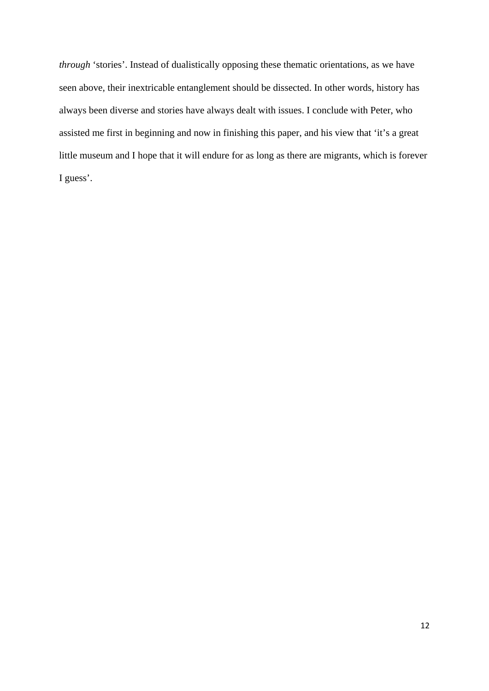*through* 'stories'. Instead of dualistically opposing these thematic orientations, as we have seen above, their inextricable entanglement should be dissected. In other words, history has always been diverse and stories have always dealt with issues. I conclude with Peter, who assisted me first in beginning and now in finishing this paper, and his view that 'it's a great little museum and I hope that it will endure for as long as there are migrants, which is forever I guess'.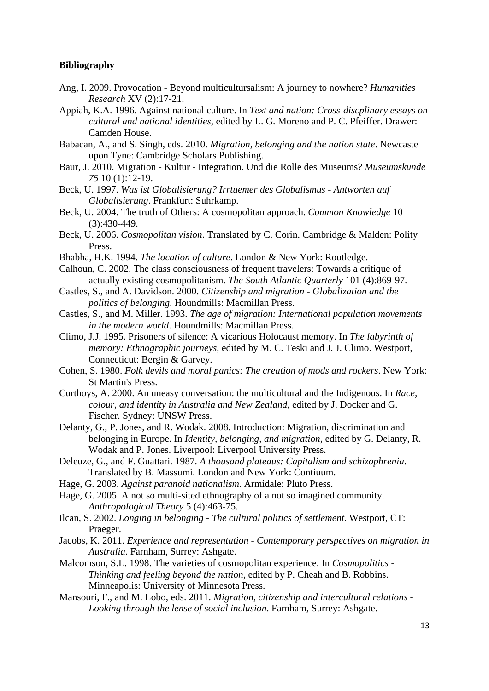# **Bibliography**

- Ang, I. 2009. Provocation Beyond multicultursalism: A journey to nowhere? *Humanities Research* XV (2):17-21.
- Appiah, K.A. 1996. Against national culture. In *Text and nation: Cross-discplinary essays on cultural and national identities*, edited by L. G. Moreno and P. C. Pfeiffer. Drawer: Camden House.
- Babacan, A., and S. Singh, eds. 2010. *Migration, belonging and the nation state*. Newcaste upon Tyne: Cambridge Scholars Publishing.
- Baur, J. 2010. Migration Kultur Integration. Und die Rolle des Museums? *Museumskunde 75* 10 (1):12-19.
- Beck, U. 1997. *Was ist Globalisierung? Irrtuemer des Globalismus Antworten auf Globalisierung*. Frankfurt: Suhrkamp.
- Beck, U. 2004. The truth of Others: A cosmopolitan approach. *Common Knowledge* 10 (3):430-449.
- Beck, U. 2006. *Cosmopolitan vision*. Translated by C. Corin. Cambridge & Malden: Polity Press.
- Bhabha, H.K. 1994. *The location of culture*. London & New York: Routledge.
- Calhoun, C. 2002. The class consciousness of frequent travelers: Towards a critique of actually existing cosmopolitanism. *The South Atlantic Quarterly* 101 (4):869-97.
- Castles, S., and A. Davidson. 2000. *Citizenship and migration Globalization and the politics of belonging*. Houndmills: Macmillan Press.
- Castles, S., and M. Miller. 1993. *The age of migration: International population movements in the modern world*. Houndmills: Macmillan Press.
- Climo, J.J. 1995. Prisoners of silence: A vicarious Holocaust memory. In *The labyrinth of memory: Ethnographic journeys*, edited by M. C. Teski and J. J. Climo. Westport, Connecticut: Bergin & Garvey.
- Cohen, S. 1980. *Folk devils and moral panics: The creation of mods and rockers*. New York: St Martin's Press.
- Curthoys, A. 2000. An uneasy conversation: the multicultural and the Indigenous. In *Race, colour, and identity in Australia and New Zealand*, edited by J. Docker and G. Fischer. Sydney: UNSW Press.
- Delanty, G., P. Jones, and R. Wodak. 2008. Introduction: Migration, discrimination and belonging in Europe. In *Identity, belonging, and migration*, edited by G. Delanty, R. Wodak and P. Jones. Liverpool: Liverpool University Press.
- Deleuze, G., and F. Guattari. 1987. *A thousand plateaus: Capitalism and schizophrenia*. Translated by B. Massumi. London and New York: Contiuum.
- Hage, G. 2003. *Against paranoid nationalism*. Armidale: Pluto Press.
- Hage, G. 2005. A not so multi-sited ethnography of a not so imagined community. *Anthropological Theory* 5 (4):463-75.
- Ilcan, S. 2002. *Longing in belonging The cultural politics of settlement*. Westport, CT: Praeger.
- Jacobs, K. 2011. *Experience and representation Contemporary perspectives on migration in Australia*. Farnham, Surrey: Ashgate.
- Malcomson, S.L. 1998. The varieties of cosmopolitan experience. In *Cosmopolitics Thinking and feeling beyond the nation*, edited by P. Cheah and B. Robbins. Minneapolis: University of Minnesota Press.
- Mansouri, F., and M. Lobo, eds. 2011. *Migration, citizenship and intercultural relations Looking through the lense of social inclusion*. Farnham, Surrey: Ashgate.